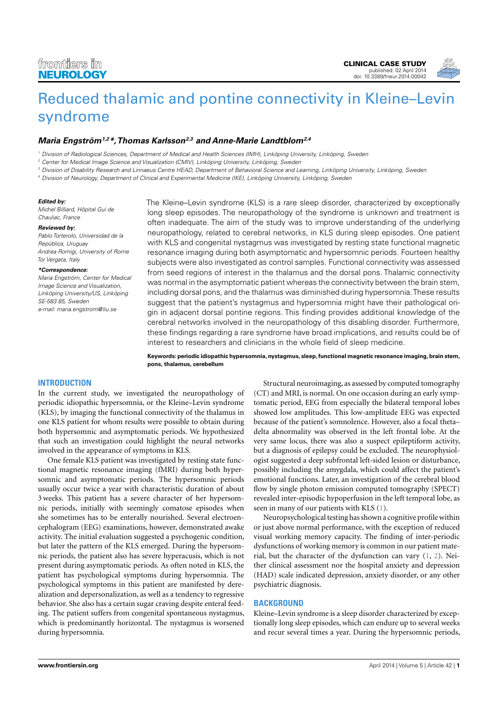# frontiers in **NEUROLOGY**



# **[Maria Engström](http://www.frontiersin.org/people/u/75220)1,2\*,[Thomas Karlsson](http://www.frontiersin.org/people/u/74197)2,3 and [Anne-Marie Landtblom](http://www.frontiersin.org/people/u/75346)2,4**

<sup>1</sup> Division of Radiological Sciences, Department of Medical and Health Sciences (IMH), Linköping University, Linköping, Sweden

- <sup>2</sup> Center for Medical Image Science and Visualization (CMIV), Linköping University, Linköping, Sweden
- <sup>3</sup> Division of Disability Research and Linnaeus Centre HEAD, Department of Behavioral Science and Learning, Linköping University, Linköping, Sweden

<sup>4</sup> Division of Neurology, Department of Clinical and Experimental Medicine (IKE), Linköping University, Linköping, Sweden

#### **Edited by:**

Michel Billiard, Hôpital Gui de Chauliac, France

#### **Reviewed by:**

Pablo Torterolo, Universidad de la República, Uruguay Andrea Romigi, University of Rome Tor Vergata, Italy

#### **\*Correspondence:**

Maria Engström, Center for Medical Image Science and Visualization, Linköping University/US, Linköping SE-583 85, Sweden e-mail: [maria.engstrom@liu.se](mailto:maria.engstrom@liu.se)

The Kleine–Levin syndrome (KLS) is a rare sleep disorder, characterized by exceptionally long sleep episodes. The neuropathology of the syndrome is unknown and treatment is often inadequate. The aim of the study was to improve understanding of the underlying neuropathology, related to cerebral networks, in KLS during sleep episodes. One patient with KLS and congenital nystagmus was investigated by resting state functional magnetic resonance imaging during both asymptomatic and hypersomnic periods. Fourteen healthy subjects were also investigated as control samples. Functional connectivity was assessed from seed regions of interest in the thalamus and the dorsal pons. Thalamic connectivity was normal in the asymptomatic patient whereas the connectivity between the brain stem, including dorsal pons, and the thalamus was diminished during hypersomnia.These results suggest that the patient's nystagmus and hypersomnia might have their pathological origin in adjacent dorsal pontine regions. This finding provides additional knowledge of the cerebral networks involved in the neuropathology of this disabling disorder. Furthermore, these findings regarding a rare syndrome have broad implications, and results could be of interest to researchers and clinicians in the whole field of sleep medicine.

**Keywords: periodic idiopathic hypersomnia, nystagmus, sleep, functional magnetic resonance imaging, brain stem, pons, thalamus, cerebellum**

# **INTRODUCTION**

In the current study, we investigated the neuropathology of periodic idiopathic hypersomnia, or the Kleine–Levin syndrome (KLS), by imaging the functional connectivity of the thalamus in one KLS patient for whom results were possible to obtain during both hypersomnic and asymptomatic periods. We hypothesized that such an investigation could highlight the neural networks involved in the appearance of symptoms in KLS.

One female KLS patient was investigated by resting state functional magnetic resonance imaging (fMRI) during both hypersomnic and asymptomatic periods. The hypersomnic periods usually occur twice a year with characteristic duration of about 3 weeks. This patient has a severe character of her hypersomnic periods, initially with seemingly comatose episodes when she sometimes has to be enterally nourished. Several electroencephalogram (EEG) examinations, however, demonstrated awake activity. The initial evaluation suggested a psychogenic condition, but later the pattern of the KLS emerged. During the hypersomnic periods, the patient also has severe hyperacusis, which is not present during asymptomatic periods. As often noted in KLS, the patient has psychological symptoms during hypersomnia. The psychological symptoms in this patient are manifested by derealization and depersonalization, as well as a tendency to regressive behavior. She also has a certain sugar craving despite enteral feeding. The patient suffers from congenital spontaneous nystagmus, which is predominantly horizontal. The nystagmus is worsened during hypersomnia.

Structural neuroimaging, as assessed by computed tomography (CT) and MRI, is normal. On one occasion during an early symptomatic period, EEG from especially the bilateral temporal lobes showed low amplitudes. This low-amplitude EEG was expected because of the patient's somnolence. However, also a focal theta– delta abnormality was observed in the left frontal lobe. At the very same locus, there was also a suspect epileptiform activity, but a diagnosis of epilepsy could be excluded. The neurophysiologist suggested a deep subfrontal left-sided lesion or disturbance, possibly including the amygdala, which could affect the patient's emotional functions. Later, an investigation of the cerebral blood flow by single photon emission computed tomography (SPECT) revealed inter-episodic hypoperfusion in the left temporal lobe, as seen in many of our patients with KLS [\(1\)](#page-3-0).

Neuropsychological testing has shown a cognitive profile within or just above normal performance, with the exception of reduced visual working memory capacity. The finding of inter-periodic dysfunctions of working memory is common in our patient material, but the character of the dysfunction can vary [\(1,](#page-3-0) [2\)](#page-3-1). Neither clinical assessment nor the hospital anxiety and depression (HAD) scale indicated depression, anxiety disorder, or any other psychiatric diagnosis.

## **BACKGROUND**

Kleine–Levin syndrome is a sleep disorder characterized by exceptionally long sleep episodes, which can endure up to several weeks and recur several times a year. During the hypersomnic periods,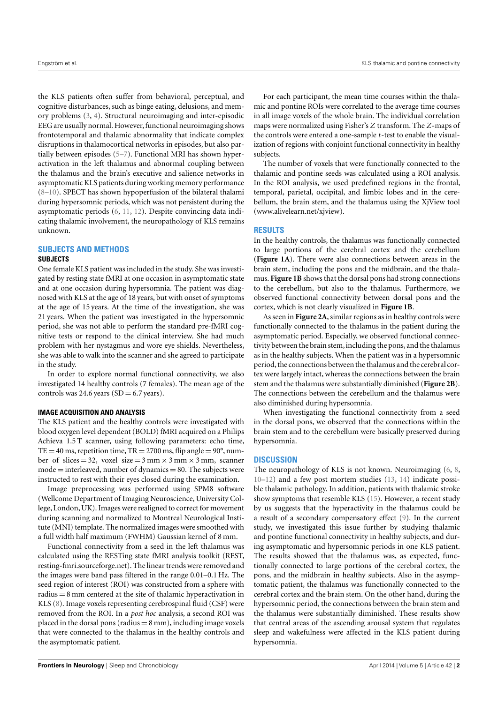the KLS patients often suffer from behavioral, perceptual, and cognitive disturbances, such as binge eating, delusions, and memory problems [\(3,](#page-3-2) [4\)](#page-3-3). Structural neuroimaging and inter-episodic EEG are usually normal. However, functional neuroimaging shows frontotemporal and thalamic abnormality that indicate complex disruptions in thalamocortical networks in episodes, but also partially between episodes [\(5](#page-3-4)[–7\)](#page-3-5). Functional MRI has shown hyperactivation in the left thalamus and abnormal coupling between the thalamus and the brain's executive and salience networks in asymptomatic KLS patients during working memory performance [\(8](#page-3-6)[–10\)](#page-3-7). SPECT has shown hypoperfusion of the bilateral thalami during hypersomnic periods, which was not persistent during the asymptomatic periods [\(6,](#page-3-8) [11,](#page-3-9) [12\)](#page-3-10). Despite convincing data indicating thalamic involvement, the neuropathology of KLS remains unknown.

# **SUBJECTS AND METHODS**

# **SUBJECTS**

One female KLS patient was included in the study. She was investigated by resting state fMRI at one occasion in asymptomatic state and at one occasion during hypersomnia. The patient was diagnosed with KLS at the age of 18 years, but with onset of symptoms at the age of 15 years. At the time of the investigation, she was 21 years. When the patient was investigated in the hypersomnic period, she was not able to perform the standard pre-fMRI cognitive tests or respond to the clinical interview. She had much problem with her nystagmus and wore eye shields. Nevertheless, she was able to walk into the scanner and she agreed to participate in the study.

In order to explore normal functional connectivity, we also investigated 14 healthy controls (7 females). The mean age of the controls was 24.6 years ( $SD = 6.7$  years).

## **IMAGE ACQUISITION AND ANALYSIS**

The KLS patient and the healthy controls were investigated with blood oxygen level dependent (BOLD) fMRI acquired on a Philips Achieva 1.5 T scanner, using following parameters: echo time,  $TE = 40$  ms, repetition time,  $TR = 2700$  ms, flip angle =  $90^{\circ}$ , number of slices = 32, voxel size =  $3 \text{ mm} \times 3 \text{ mm} \times 3 \text{ mm}$ , scanner  $mode =$  interleaved, number of dynamics  $= 80$ . The subjects were instructed to rest with their eyes closed during the examination.

Image preprocessing was performed using SPM8 software (Wellcome Department of Imaging Neuroscience, University College, London, UK). Images were realigned to correct for movement during scanning and normalized to Montreal Neurological Institute (MNI) template. The normalized images were smoothed with a full width half maximum (FWHM) Gaussian kernel of 8 mm.

Functional connectivity from a seed in the left thalamus was calculated using the RESTing state fMRI analysis toolkit (REST, resting-fmri.sourceforge.net). The linear trends were removed and the images were band pass filtered in the range 0.01–0.1 Hz. The seed region of interest (ROI) was constructed from a sphere with radius = 8 mm centered at the site of thalamic hyperactivation in KLS [\(8\)](#page-3-6). Image voxels representing cerebrospinal fluid (CSF) were removed from the ROI. In a *post hoc* analysis, a second ROI was placed in the dorsal pons (radius  $= 8$  mm), including image voxels that were connected to the thalamus in the healthy controls and the asymptomatic patient.

For each participant, the mean time courses within the thalamic and pontine ROIs were correlated to the average time courses in all image voxels of the whole brain. The individual correlation maps were normalized using Fisher's *Z* transform. The *Z*-maps of the controls were entered a one-sample *t*-test to enable the visualization of regions with conjoint functional connectivity in healthy subjects.

The number of voxels that were functionally connected to the thalamic and pontine seeds was calculated using a ROI analysis. In the ROI analysis, we used predefined regions in the frontal, temporal, parietal, occipital, and limbic lobes and in the cerebellum, the brain stem, and the thalamus using the XjView tool [\(www.alivelearn.net/xjview\)](www.alivelearn.net/xjview).

## **RESULTS**

In the healthy controls, the thalamus was functionally connected to large portions of the cerebral cortex and the cerebellum (**[Figure 1A](#page-2-0)**). There were also connections between areas in the brain stem, including the pons and the midbrain, and the thalamus. **[Figure 1B](#page-2-0)** shows that the dorsal pons had strong connections to the cerebellum, but also to the thalamus. Furthermore, we observed functional connectivity between dorsal pons and the cortex, which is not clearly visualized in **[Figure 1B](#page-2-0)**.

As seen in **[Figure 2A](#page-2-1)**, similar regions as in healthy controls were functionally connected to the thalamus in the patient during the asymptomatic period. Especially, we observed functional connectivity between the brain stem,including the pons, and the thalamus as in the healthy subjects. When the patient was in a hypersomnic period, the connections between the thalamus and the cerebral cortex were largely intact, whereas the connections between the brain stem and the thalamus were substantially diminished (**[Figure 2B](#page-2-1)**). The connections between the cerebellum and the thalamus were also diminished during hypersomnia.

When investigating the functional connectivity from a seed in the dorsal pons, we observed that the connections within the brain stem and to the cerebellum were basically preserved during hypersomnia.

## **DISCUSSION**

The neuropathology of KLS is not known. Neuroimaging [\(6,](#page-3-8) [8,](#page-3-6) [10](#page-3-7)[–12\)](#page-3-10) and a few post mortem studies [\(13,](#page-3-11) [14\)](#page-3-12) indicate possible thalamic pathology. In addition, patients with thalamic stroke show symptoms that resemble KLS [\(15\)](#page-3-13). However, a recent study by us suggests that the hyperactivity in the thalamus could be a result of a secondary compensatory effect [\(9\)](#page-3-14). In the current study, we investigated this issue further by studying thalamic and pontine functional connectivity in healthy subjects, and during asymptomatic and hypersomnic periods in one KLS patient. The results showed that the thalamus was, as expected, functionally connected to large portions of the cerebral cortex, the pons, and the midbrain in healthy subjects. Also in the asymptomatic patient, the thalamus was functionally connected to the cerebral cortex and the brain stem. On the other hand, during the hypersomnic period, the connections between the brain stem and the thalamus were substantially diminished. These results show that central areas of the ascending arousal system that regulates sleep and wakefulness were affected in the KLS patient during hypersomnia.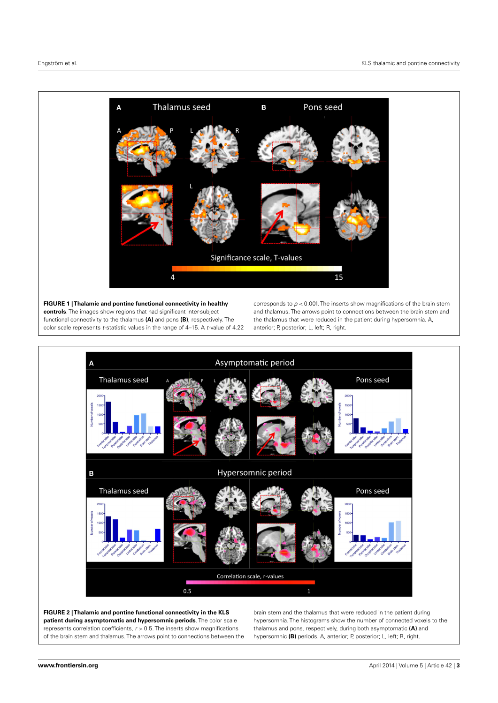

<span id="page-2-0"></span>**FIGURE 1 | Thalamic and pontine functional connectivity in healthy controls**. The images show regions that had significant inter-subject functional connectivity to the thalamus **(A)** and pons **(B)**, respectively. The color scale represents t-statistic values in the range of 4–15. A t-value of 4.22 corresponds to  $p < 0.001$ . The inserts show magnifications of the brain stem and thalamus. The arrows point to connections between the brain stem and the thalamus that were reduced in the patient during hypersomnia. A, anterior; P, posterior; L, left; R, right.



<span id="page-2-1"></span>**FIGURE 2 | Thalamic and pontine functional connectivity in the KLS patient during asymptomatic and hypersomnic periods**. The color scale represents correlation coefficients,  $r > 0.5$ . The inserts show magnifications of the brain stem and thalamus. The arrows point to connections between the brain stem and the thalamus that were reduced in the patient during hypersomnia. The histograms show the number of connected voxels to the thalamus and pons, respectively, during both asymptomatic **(A)** and hypersomnic **(B)** periods. A, anterior; P, posterior; L, left; R, right.